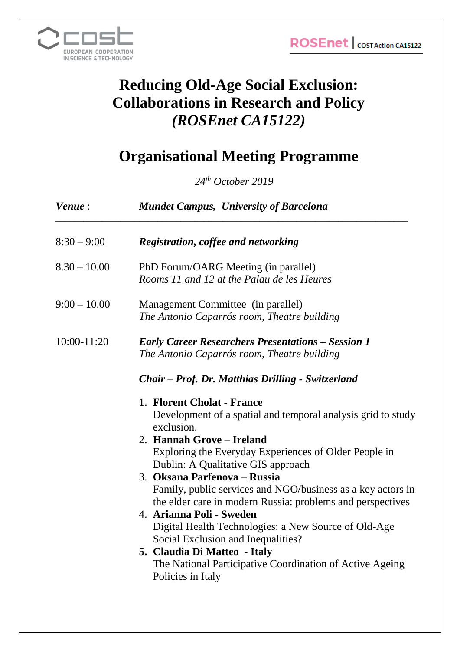

# **Reducing Old-Age Social Exclusion: Collaborations in Research and Policy** *(ROSEnet CA15122)*

## **Organisational Meeting Programme**

*24th October 2019*

| Venue:         | <b>Mundet Campus, University of Barcelona</b>                                                                                                                                                                                                            |
|----------------|----------------------------------------------------------------------------------------------------------------------------------------------------------------------------------------------------------------------------------------------------------|
| $8:30 - 9:00$  | <b>Registration, coffee and networking</b>                                                                                                                                                                                                               |
| $8.30 - 10.00$ | PhD Forum/OARG Meeting (in parallel)<br>Rooms 11 and 12 at the Palau de les Heures                                                                                                                                                                       |
| $9:00 - 10.00$ | Management Committee (in parallel)<br>The Antonio Caparrós room, Theatre building                                                                                                                                                                        |
| 10:00-11:20    | <b>Early Career Researchers Presentations – Session 1</b><br>The Antonio Caparrós room, Theatre building                                                                                                                                                 |
|                | Chair – Prof. Dr. Matthias Drilling - Switzerland                                                                                                                                                                                                        |
|                | 1. Florent Cholat - France<br>Development of a spatial and temporal analysis grid to study<br>exclusion.<br>2. Hannah Grove – Ireland                                                                                                                    |
|                | Exploring the Everyday Experiences of Older People in<br>Dublin: A Qualitative GIS approach<br>3. Oksana Parfenova - Russia<br>Family, public services and NGO/business as a key actors in<br>the elder care in modern Russia: problems and perspectives |
|                | 4. Arianna Poli - Sweden<br>Digital Health Technologies: a New Source of Old-Age<br>Social Exclusion and Inequalities?                                                                                                                                   |
|                | 5. Claudia Di Matteo - Italy<br>The National Participative Coordination of Active Ageing<br>Policies in Italy                                                                                                                                            |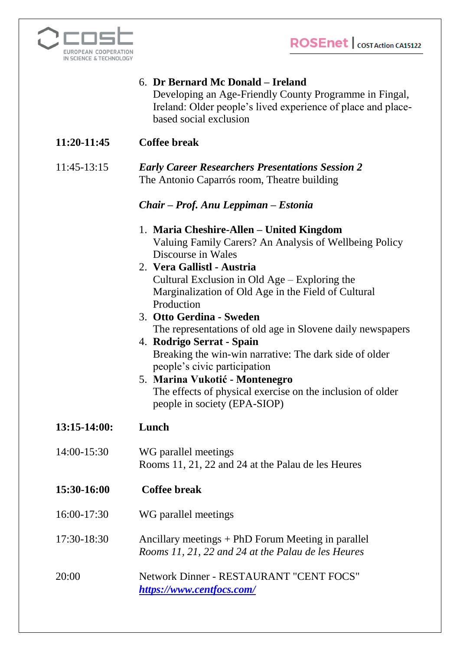**ROSEnet** | COST Action CA15122



### 6. **Dr Bernard Mc Donald – Ireland**

Developing an Age-Friendly County Programme in Fingal, Ireland: Older people's lived experience of place and placebased social exclusion

**11:20-11:45 Coffee break**

#### 11:45-13:15 *Early Career Researchers Presentations Session 2* The Antonio Caparrós room, Theatre building

### *Chair – Prof. Anu Leppiman – Estonia*

- 1. **Maria Cheshire-Allen – United Kingdom** Valuing Family Carers? An Analysis of Wellbeing Policy Discourse in Wales
- 2. **Vera Gallistl - Austria** Cultural Exclusion in Old Age – Exploring the Marginalization of Old Age in the Field of Cultural Production
- 3. **Otto Gerdina - Sweden** The representations of old age in Slovene daily newspapers
- 4. **Rodrigo Serrat - Spain** Breaking the win-win narrative: The dark side of older people's civic participation
- 5. **Marina Vukotić - Montenegro** The effects of physical exercise on the inclusion of older people in society (EPA-SIOP)
- **13:15-14:00: Lunch**
- 14:00-15:30 WG parallel meetings Rooms 11, 21, 22 and 24 at the Palau de les Heures
- **15:30-16:00 Coffee break**
- 16:00-17:30 WG parallel meetings
- 17:30-18:30 Ancillary meetings + PhD Forum Meeting in parallel *Rooms 11, 21, 22 and 24 at the Palau de les Heures*
- 20:00 Network Dinner RESTAURANT "CENT FOCS" *<https://www.centfocs.com/>*